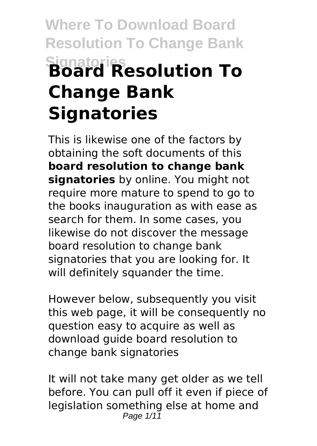# **Where To Download Board Resolution To Change Bank Signatories Board Resolution To Change Bank Signatories**

This is likewise one of the factors by obtaining the soft documents of this **board resolution to change bank signatories** by online. You might not require more mature to spend to go to the books inauguration as with ease as search for them. In some cases, you likewise do not discover the message board resolution to change bank signatories that you are looking for. It will definitely squander the time.

However below, subsequently you visit this web page, it will be consequently no question easy to acquire as well as download guide board resolution to change bank signatories

It will not take many get older as we tell before. You can pull off it even if piece of legislation something else at home and Page  $1/11$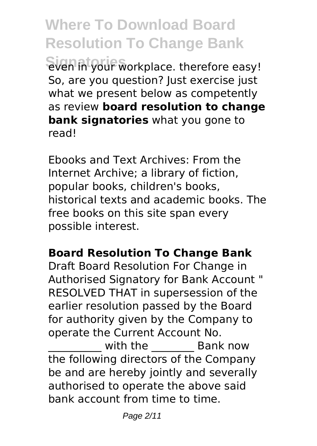**Where To Download Board Resolution To Change Bank Signatories** even in your workplace. therefore easy! So, are you question? Just exercise just what we present below as competently as review **board resolution to change bank signatories** what you gone to read!

Ebooks and Text Archives: From the Internet Archive; a library of fiction, popular books, children's books, historical texts and academic books. The free books on this site span every possible interest.

# **Board Resolution To Change Bank**

Draft Board Resolution For Change in Authorised Signatory for Bank Account " RESOLVED THAT in supersession of the earlier resolution passed by the Board for authority given by the Company to operate the Current Account No.

with the **Bank now** the following directors of the Company be and are hereby jointly and severally authorised to operate the above said bank account from time to time.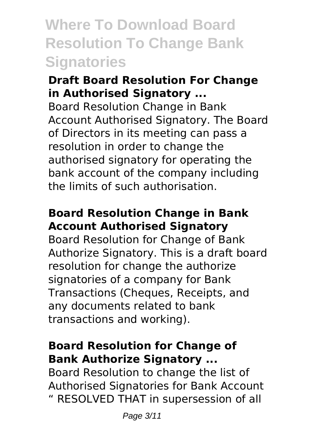# **Where To Download Board Resolution To Change Bank Signatories**

#### **Draft Board Resolution For Change in Authorised Signatory ...**

Board Resolution Change in Bank Account Authorised Signatory. The Board of Directors in its meeting can pass a resolution in order to change the authorised signatory for operating the bank account of the company including the limits of such authorisation.

### **Board Resolution Change in Bank Account Authorised Signatory**

Board Resolution for Change of Bank Authorize Signatory. This is a draft board resolution for change the authorize signatories of a company for Bank Transactions (Cheques, Receipts, and any documents related to bank transactions and working).

# **Board Resolution for Change of Bank Authorize Signatory ...**

Board Resolution to change the list of Authorised Signatories for Bank Account " RESOLVED THAT in supersession of all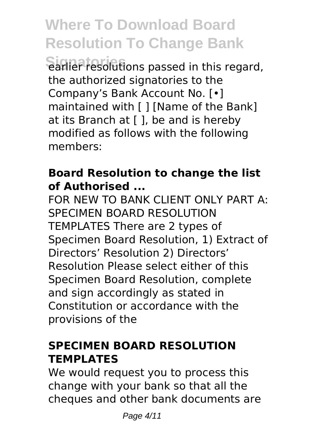**Signatories** earlier resolutions passed in this regard, the authorized signatories to the Company's Bank Account No. [•] maintained with [ ] [Name of the Bank] at its Branch at [ ], be and is hereby modified as follows with the following members:

#### **Board Resolution to change the list of Authorised ...**

FOR NEW TO BANK CLIENT ONLY PART A: SPECIMEN BOARD RESOLUTION TEMPLATES There are 2 types of Specimen Board Resolution, 1) Extract of Directors' Resolution 2) Directors' Resolution Please select either of this Specimen Board Resolution, complete and sign accordingly as stated in Constitution or accordance with the provisions of the

# **SPECIMEN BOARD RESOLUTION TEMPLATES**

We would request you to process this change with your bank so that all the cheques and other bank documents are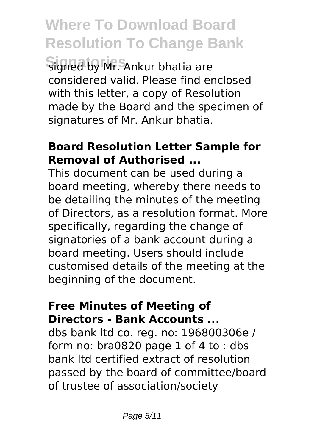signed by Mr. Ankur bhatia are considered valid. Please find enclosed with this letter, a copy of Resolution made by the Board and the specimen of signatures of Mr. Ankur bhatia.

#### **Board Resolution Letter Sample for Removal of Authorised ...**

This document can be used during a board meeting, whereby there needs to be detailing the minutes of the meeting of Directors, as a resolution format. More specifically, regarding the change of signatories of a bank account during a board meeting. Users should include customised details of the meeting at the beginning of the document.

#### **Free Minutes of Meeting of Directors - Bank Accounts ...**

dbs bank ltd co. reg. no: 196800306e / form no: bra0820 page 1 of 4 to : dbs bank ltd certified extract of resolution passed by the board of committee/board of trustee of association/society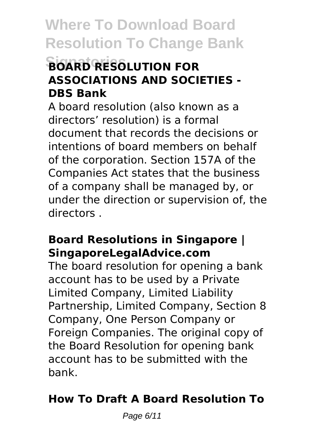# **Signatories BOARD RESOLUTION FOR ASSOCIATIONS AND SOCIETIES - DBS Bank**

A board resolution (also known as a directors' resolution) is a formal document that records the decisions or intentions of board members on behalf of the corporation. Section 157A of the Companies Act states that the business of a company shall be managed by, or under the direction or supervision of, the directors .

#### **Board Resolutions in Singapore | SingaporeLegalAdvice.com**

The board resolution for opening a bank account has to be used by a Private Limited Company, Limited Liability Partnership, Limited Company, Section 8 Company, One Person Company or Foreign Companies. The original copy of the Board Resolution for opening bank account has to be submitted with the bank.

# **How To Draft A Board Resolution To**

Page 6/11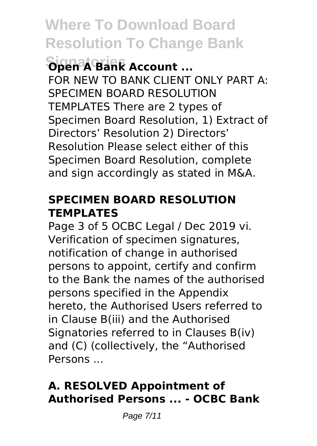# **Signatories Open A Bank Account ...**

FOR NEW TO BANK CLIENT ONLY PART A: SPECIMEN BOARD RESOLUTION TEMPLATES There are 2 types of Specimen Board Resolution, 1) Extract of Directors' Resolution 2) Directors' Resolution Please select either of this Specimen Board Resolution, complete and sign accordingly as stated in M&A.

#### **SPECIMEN BOARD RESOLUTION TEMPLATES**

Page 3 of 5 OCBC Legal / Dec 2019 vi. Verification of specimen signatures, notification of change in authorised persons to appoint, certify and confirm to the Bank the names of the authorised persons specified in the Appendix hereto, the Authorised Users referred to in Clause B(iii) and the Authorised Signatories referred to in Clauses B(iv) and (C) (collectively, the "Authorised Persons ...

# **A. RESOLVED Appointment of Authorised Persons ... - OCBC Bank**

Page 7/11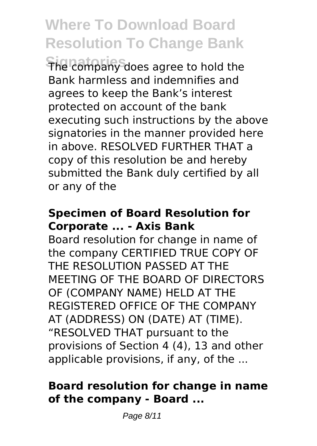**Signatories** The company does agree to hold the Bank harmless and indemnifies and agrees to keep the Bank's interest protected on account of the bank executing such instructions by the above signatories in the manner provided here in above. RESOLVED FURTHER THAT a copy of this resolution be and hereby submitted the Bank duly certified by all or any of the

#### **Specimen of Board Resolution for Corporate ... - Axis Bank**

Board resolution for change in name of the company CERTIFIED TRUE COPY OF THE RESOLUTION PASSED AT THE MEETING OF THE BOARD OF DIRECTORS OF (COMPANY NAME) HELD AT THE REGISTERED OFFICE OF THE COMPANY AT (ADDRESS) ON (DATE) AT (TIME). "RESOLVED THAT pursuant to the provisions of Section 4 (4), 13 and other applicable provisions, if any, of the ...

#### **Board resolution for change in name of the company - Board ...**

Page 8/11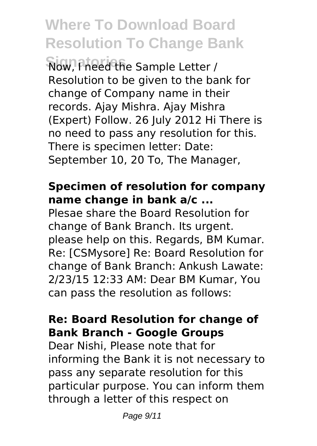**Signatories** Now, I need the Sample Letter / Resolution to be given to the bank for change of Company name in their records. Ajay Mishra. Ajay Mishra (Expert) Follow. 26 July 2012 Hi There is no need to pass any resolution for this. There is specimen letter: Date: September 10, 20 To, The Manager,

#### **Specimen of resolution for company name change in bank a/c ...**

Plesae share the Board Resolution for change of Bank Branch. Its urgent. please help on this. Regards, BM Kumar. Re: [CSMysore] Re: Board Resolution for change of Bank Branch: Ankush Lawate: 2/23/15 12:33 AM: Dear BM Kumar, You can pass the resolution as follows:

#### **Re: Board Resolution for change of Bank Branch - Google Groups**

Dear Nishi, Please note that for informing the Bank it is not necessary to pass any separate resolution for this particular purpose. You can inform them through a letter of this respect on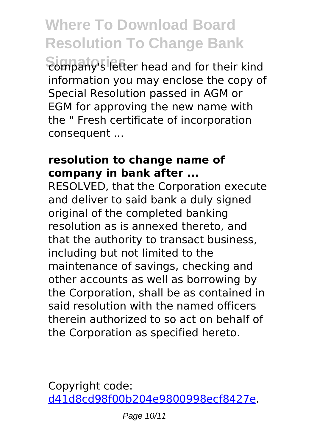**Signatories** company's letter head and for their kind information you may enclose the copy of Special Resolution passed in AGM or EGM for approving the new name with the " Fresh certificate of incorporation consequent ...

#### **resolution to change name of company in bank after ...**

RESOLVED, that the Corporation execute and deliver to said bank a duly signed original of the completed banking resolution as is annexed thereto, and that the authority to transact business, including but not limited to the maintenance of savings, checking and other accounts as well as borrowing by the Corporation, shall be as contained in said resolution with the named officers therein authorized to so act on behalf of the Corporation as specified hereto.

Copyright code: [d41d8cd98f00b204e9800998ecf8427e.](/sitemap.xml)